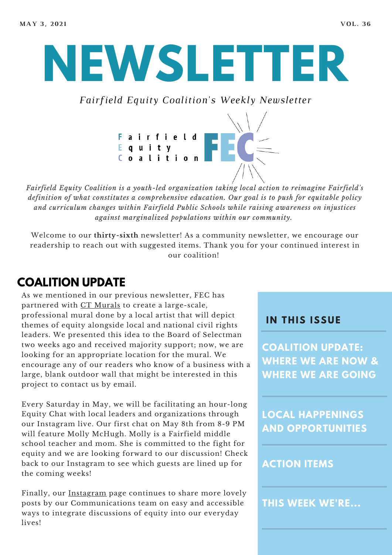**NEWSLETTER**

*Fairfield Equity Coalition's Weekly Newsletter*



*Fairfield Equity Coalition is a youth-led organization taking local action to reimagine Fairfield's definition of what constitutes a comprehensive education. Our goal is to push for equitable policy and curriculum changes within Fairfield Public Schools while raising awareness on injustices against marginalized populations within our community.*

Welcome to our **thirty-sixth** newsletter! As a community newsletter, we encourage our readership to reach out with suggested items. Thank you for your continued interest in our coalition!

# **COALITION UPDATE**

As we mentioned in our previous newsletter, FEC has partnered with CT [Murals](https://www.ctmurals.com/) to create a large-scale, professional mural done by a local artist that will depict themes of equity alongside local and national civil rights leaders. We presented this idea to the Board of Selectman two weeks ago and received majority support; now, we are looking for an appropriate location for the mural. We encourage any of our readers who know of a business with a large, blank outdoor wall that might be interested in this project to contact us by email.

Every Saturday in May, we will be facilitating an hour-long Equity Chat with local leaders and organizations through our Instagram live. Our first chat on May 8th from 8-9 PM will feature Molly McHugh. Molly is a Fairfield middle school teacher and mom. She is committed to the fight for equity and we are looking forward to our discussion! Check back to our Instagram to see which guests are lined up for the coming weeks!

Finally, our [Instagram](https://www.instagram.com/fairfieldequitycoalition/) page continues to share more lovely posts by our Communications team on easy and accessible ways to integrate discussions of equity into our everyday lives!

### **I N THIS ISSUE**

**COALITION UPDATE: WHERE WE ARE NOW & WHERE WE ARE GOING**

**LOCAL HAPPENINGS AND OPPORTUNITIES**

### **ACTION ITEMS**

**THIS WEEK WE'RE...**